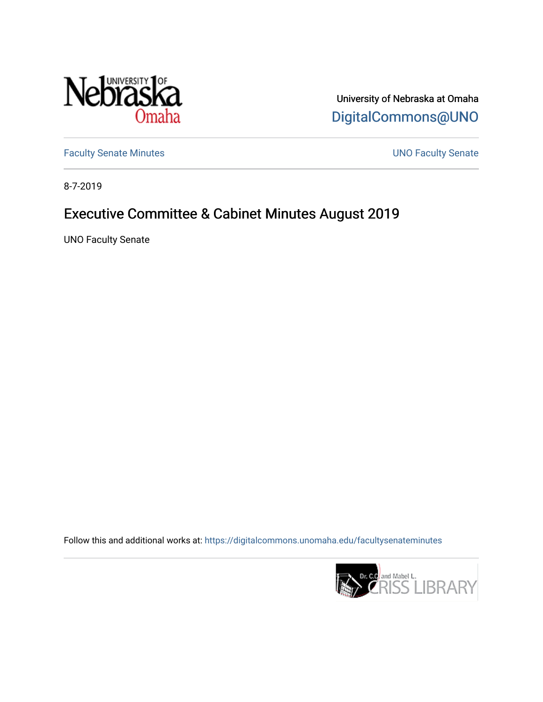

University of Nebraska at Omaha [DigitalCommons@UNO](https://digitalcommons.unomaha.edu/) 

[Faculty Senate Minutes](https://digitalcommons.unomaha.edu/facultysenateminutes) **Exercise Senate UNO Faculty Senate** 

8-7-2019

# Executive Committee & Cabinet Minutes August 2019

UNO Faculty Senate

Follow this and additional works at: [https://digitalcommons.unomaha.edu/facultysenateminutes](https://digitalcommons.unomaha.edu/facultysenateminutes?utm_source=digitalcommons.unomaha.edu%2Ffacultysenateminutes%2F130&utm_medium=PDF&utm_campaign=PDFCoverPages) 

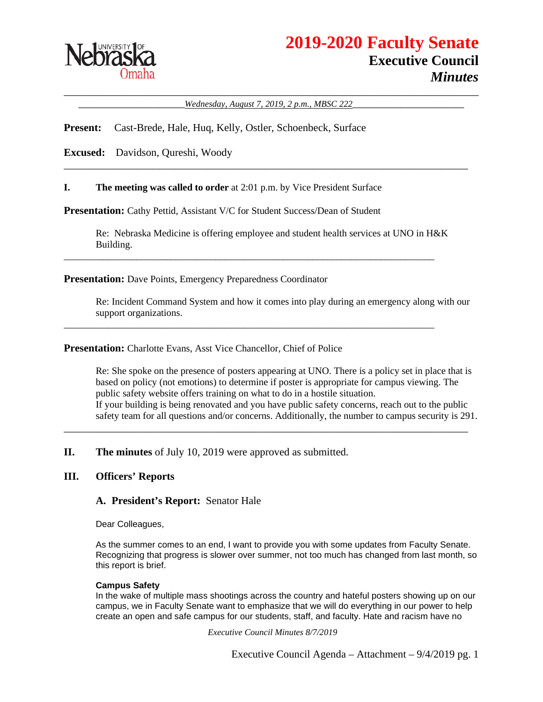

\_\_\_\_\_\_\_\_\_\_\_\_\_\_\_\_\_\_\_\_\_\_\_\_\_\_\_\_\_\_\_\_\_\_\_\_\_\_\_\_\_\_\_\_\_\_\_\_\_\_\_\_\_\_\_\_\_\_\_\_\_\_\_\_\_\_\_\_\_\_\_\_\_\_\_\_\_\_ \_\_\_\_\_\_\_\_\_\_\_\_\_\_\_\_\_\_\_\_*Wednesday, August 7, 2019, 2 p.m., MBSC 222*\_\_\_\_\_\_\_\_\_\_\_\_\_\_\_\_\_\_\_\_\_

\_\_\_\_\_\_\_\_\_\_\_\_\_\_\_\_\_\_\_\_\_\_\_\_\_\_\_\_\_\_\_\_\_\_\_\_\_\_\_\_\_\_\_\_\_\_\_\_\_\_\_\_\_\_\_\_\_\_\_\_\_\_\_\_\_\_\_\_\_\_\_\_\_\_\_\_

**Present:** Cast-Brede, Hale, Huq, Kelly, Ostler, Schoenbeck, Surface

**Excused:** Davidson, Qureshi, Woody

**I. The meeting was called to order** at 2:01 p.m. by Vice President Surface

**Presentation:** Cathy Pettid, Assistant V/C for Student Success/Dean of Student

Re: Nebraska Medicine is offering employee and student health services at UNO in H&K Building.

\_\_\_\_\_\_\_\_\_\_\_\_\_\_\_\_\_\_\_\_\_\_\_\_\_\_\_\_\_\_\_\_\_\_\_\_\_\_\_\_\_\_\_\_\_\_\_\_\_\_\_\_\_\_\_\_\_\_\_\_\_\_\_\_\_\_\_\_\_\_\_\_\_\_\_\_

\_\_\_\_\_\_\_\_\_\_\_\_\_\_\_\_\_\_\_\_\_\_\_\_\_\_\_\_\_\_\_\_\_\_\_\_\_\_\_\_\_\_\_\_\_\_\_\_\_\_\_\_\_\_\_\_\_\_\_\_\_\_\_\_\_\_\_\_\_\_\_\_\_\_\_\_

**Presentation:** Dave Points, Emergency Preparedness Coordinator

Re: Incident Command System and how it comes into play during an emergency along with our support organizations.

**Presentation:** Charlotte Evans, Asst Vice Chancellor, Chief of Police

Re: She spoke on the presence of posters appearing at UNO. There is a policy set in place that is based on policy (not emotions) to determine if poster is appropriate for campus viewing. The public safety website offers training on what to do in a hostile situation. If your building is being renovated and you have public safety concerns, reach out to the public safety team for all questions and/or concerns. Additionally, the number to campus security is 291.

\_\_\_\_\_\_\_\_\_\_\_\_\_\_\_\_\_\_\_\_\_\_\_\_\_\_\_\_\_\_\_\_\_\_\_\_\_\_\_\_\_\_\_\_\_\_\_\_\_\_\_\_\_\_\_\_\_\_\_\_\_\_\_\_\_\_\_\_\_\_\_\_\_\_\_\_

**II. The minutes** of July 10, 2019 were approved as submitted.

#### **III. Officers' Reports**

**A. President's Report:** Senator Hale

Dear Colleagues,

As the summer comes to an end, I want to provide you with some updates from Faculty Senate. Recognizing that progress is slower over summer, not too much has changed from last month, so this report is brief.

#### **Campus Safety**

In the wake of multiple mass shootings across the country and hateful posters showing up on our campus, we in Faculty Senate want to emphasize that we will do everything in our power to help create an open and safe campus for our students, staff, and faculty. Hate and racism have no

*Executive Council Minutes 8/7/2019*

Executive Council Agenda – Attachment – 9/4/2019 pg. 1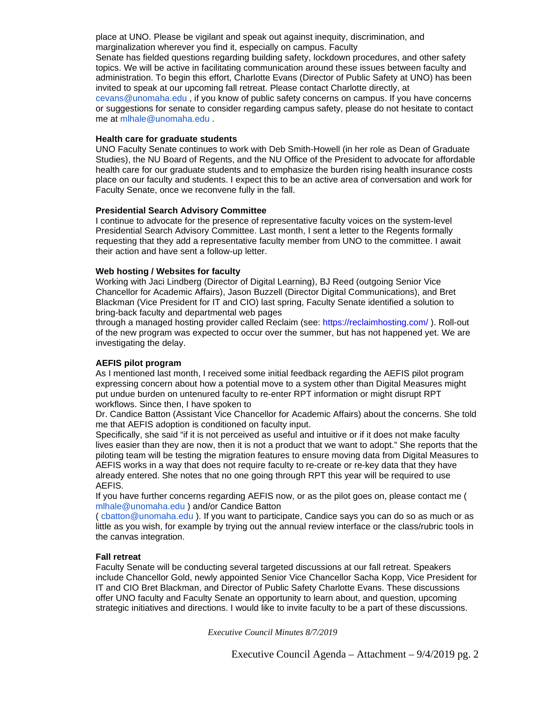place at UNO. Please be vigilant and speak out against inequity, discrimination, and marginalization wherever you find it, especially on campus. Faculty Senate has fielded questions regarding building safety, lockdown procedures, and other safety topics. We will be active in facilitating communication around these issues between faculty and administration. To begin this effort, Charlotte Evans (Director of Public Safety at UNO) has been invited to speak at our upcoming fall retreat. Please contact Charlotte directly, at cevans@unomaha.edu , if you know of public safety concerns on campus. If you have concerns or suggestions for senate to consider regarding campus safety, please do not hesitate to contact me at mlhale@unomaha.edu .

#### **Health care for graduate students**

UNO Faculty Senate continues to work with Deb Smith-Howell (in her role as Dean of Graduate Studies), the NU Board of Regents, and the NU Office of the President to advocate for affordable health care for our graduate students and to emphasize the burden rising health insurance costs place on our faculty and students. I expect this to be an active area of conversation and work for Faculty Senate, once we reconvene fully in the fall.

#### **Presidential Search Advisory Committee**

I continue to advocate for the presence of representative faculty voices on the system-level Presidential Search Advisory Committee. Last month, I sent a letter to the Regents formally requesting that they add a representative faculty member from UNO to the committee. I await their action and have sent a follow-up letter.

#### **Web hosting / Websites for faculty**

Working with Jaci Lindberg (Director of Digital Learning), BJ Reed (outgoing Senior Vice Chancellor for Academic Affairs), Jason Buzzell (Director Digital Communications), and Bret Blackman (Vice President for IT and CIO) last spring, Faculty Senate identified a solution to bring-back faculty and departmental web pages

through a managed hosting provider called Reclaim (see: https://reclaimhosting.com/ ). Roll-out of the new program was expected to occur over the summer, but has not happened yet. We are investigating the delay.

#### **AEFIS pilot program**

As I mentioned last month, I received some initial feedback regarding the AEFIS pilot program expressing concern about how a potential move to a system other than Digital Measures might put undue burden on untenured faculty to re-enter RPT information or might disrupt RPT workflows. Since then, I have spoken to

Dr. Candice Batton (Assistant Vice Chancellor for Academic Affairs) about the concerns. She told me that AEFIS adoption is conditioned on faculty input.

Specifically, she said "if it is not perceived as useful and intuitive or if it does not make faculty lives easier than they are now, then it is not a product that we want to adopt." She reports that the piloting team will be testing the migration features to ensure moving data from Digital Measures to AEFIS works in a way that does not require faculty to re-create or re-key data that they have already entered. She notes that no one going through RPT this year will be required to use AEFIS.

If you have further concerns regarding AEFIS now, or as the pilot goes on, please contact me ( mlhale@unomaha.edu ) and/or Candice Batton

( cbatton@unomaha.edu ). If you want to participate, Candice says you can do so as much or as little as you wish, for example by trying out the annual review interface or the class/rubric tools in the canvas integration.

#### **Fall retreat**

Faculty Senate will be conducting several targeted discussions at our fall retreat. Speakers include Chancellor Gold, newly appointed Senior Vice Chancellor Sacha Kopp, Vice President for IT and CIO Bret Blackman, and Director of Public Safety Charlotte Evans. These discussions offer UNO faculty and Faculty Senate an opportunity to learn about, and question, upcoming strategic initiatives and directions. I would like to invite faculty to be a part of these discussions.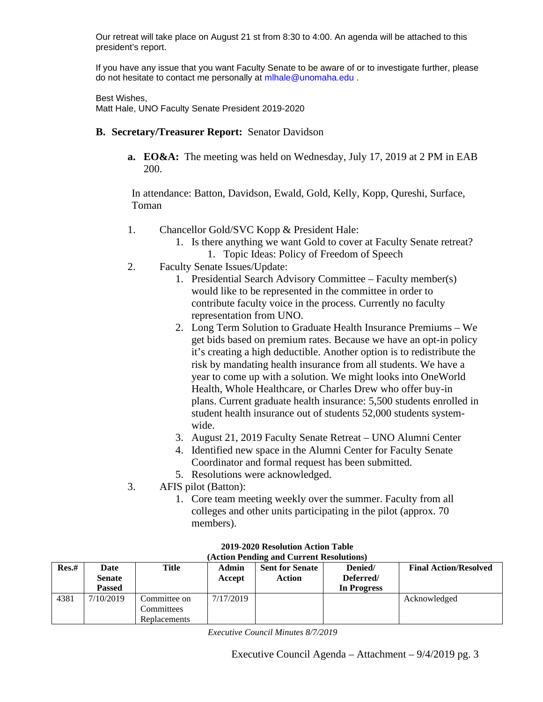Our retreat will take place on August 21 st from 8:30 to 4:00. An agenda will be attached to this president's report.

If you have any issue that you want Faculty Senate to be aware of or to investigate further, please do not hesitate to contact me personally at mlhale@unomaha.edu .

Best Wishes,

Matt Hale, UNO Faculty Senate President 2019-2020

- **B. Secretary/Treasurer Report:** Senator Davidson
	- **a. EO&A:** The meeting was held on Wednesday, July 17, 2019 at 2 PM in EAB 200.

In attendance: Batton, Davidson, Ewald, Gold, Kelly, Kopp, Qureshi, Surface, Toman

- 1. Chancellor Gold/SVC Kopp & President Hale:
	- 1. Is there anything we want Gold to cover at Faculty Senate retreat?
		- 1. Topic Ideas: Policy of Freedom of Speech
- 2. Faculty Senate Issues/Update:
	- 1. Presidential Search Advisory Committee Faculty member(s) would like to be represented in the committee in order to contribute faculty voice in the process. Currently no faculty representation from UNO.
	- 2. Long Term Solution to Graduate Health Insurance Premiums We get bids based on premium rates. Because we have an opt-in policy it's creating a high deductible. Another option is to redistribute the risk by mandating health insurance from all students. We have a year to come up with a solution. We might looks into OneWorld Health, Whole Healthcare, or Charles Drew who offer buy-in plans. Current graduate health insurance: 5,500 students enrolled in student health insurance out of students 52,000 students systemwide.
	- 3. August 21, 2019 Faculty Senate Retreat UNO Alumni Center
	- 4. Identified new space in the Alumni Center for Faculty Senate Coordinator and formal request has been submitted.
	- 5. Resolutions were acknowledged.
- 3. AFIS pilot (Batton):
	- 1. Core team meeting weekly over the summer. Faculty from all colleges and other units participating in the pilot (approx. 70 members).

| Res.# | Date<br><b>Senate</b><br><b>Passed</b> | Title                                      | <b>Admin</b><br>Accept | <b>Sent for Senate</b><br>Action | Denied/<br>Deferred/<br>In Progress | <b>Final Action/Resolved</b> |
|-------|----------------------------------------|--------------------------------------------|------------------------|----------------------------------|-------------------------------------|------------------------------|
| 4381  | 7/10/2019                              | Committee on<br>Committees<br>Replacements | 7/17/2019              |                                  |                                     | Acknowledged                 |

#### **2019-2020 Resolution Action Table (Action Pending and Current Resolutions)**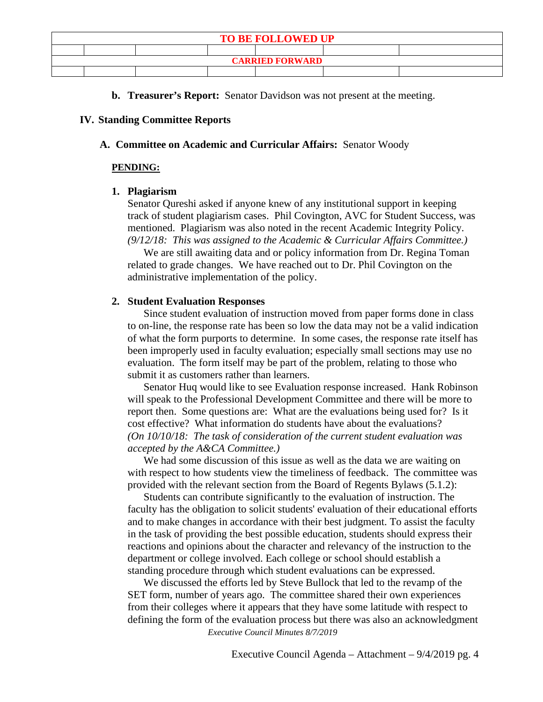| <b>TO BE FOLLOWED UP</b> |  |  |  |  |  |  |  |
|--------------------------|--|--|--|--|--|--|--|
|                          |  |  |  |  |  |  |  |
| <b>CARRIED FORWARD</b>   |  |  |  |  |  |  |  |
|                          |  |  |  |  |  |  |  |

**b. Treasurer's Report:** Senator Davidson was not present at the meeting.

## **IV. Standing Committee Reports**

## **A. Committee on Academic and Curricular Affairs:** Senator Woody

#### **PENDING:**

## **1. Plagiarism**

Senator Qureshi asked if anyone knew of any institutional support in keeping track of student plagiarism cases. Phil Covington, AVC for Student Success, was mentioned. Plagiarism was also noted in the recent Academic Integrity Policy. *(9/12/18: This was assigned to the Academic & Curricular Affairs Committee.)* 

We are still awaiting data and or policy information from Dr. Regina Toman related to grade changes. We have reached out to Dr. Phil Covington on the administrative implementation of the policy.

## **2. Student Evaluation Responses**

Since student evaluation of instruction moved from paper forms done in class to on-line, the response rate has been so low the data may not be a valid indication of what the form purports to determine. In some cases, the response rate itself has been improperly used in faculty evaluation; especially small sections may use no evaluation. The form itself may be part of the problem, relating to those who submit it as customers rather than learners.

Senator Huq would like to see Evaluation response increased. Hank Robinson will speak to the Professional Development Committee and there will be more to report then. Some questions are: What are the evaluations being used for? Is it cost effective? What information do students have about the evaluations? *(On 10/10/18: The task of consideration of the current student evaluation was accepted by the A&CA Committee.)*

We had some discussion of this issue as well as the data we are waiting on with respect to how students view the timeliness of feedback. The committee was provided with the relevant section from the Board of Regents Bylaws (5.1.2):

Students can contribute significantly to the evaluation of instruction. The faculty has the obligation to solicit students' evaluation of their educational efforts and to make changes in accordance with their best judgment. To assist the faculty in the task of providing the best possible education, students should express their reactions and opinions about the character and relevancy of the instruction to the department or college involved. Each college or school should establish a standing procedure through which student evaluations can be expressed.

We discussed the efforts led by Steve Bullock that led to the revamp of the SET form, number of years ago. The committee shared their own experiences from their colleges where it appears that they have some latitude with respect to defining the form of the evaluation process but there was also an acknowledgment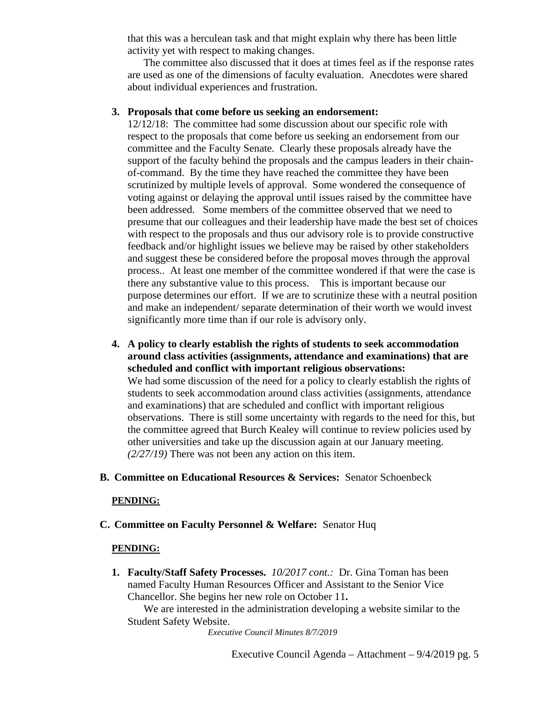that this was a herculean task and that might explain why there has been little activity yet with respect to making changes.

The committee also discussed that it does at times feel as if the response rates are used as one of the dimensions of faculty evaluation. Anecdotes were shared about individual experiences and frustration.

## **3. Proposals that come before us seeking an endorsement:**

12/12/18: The committee had some discussion about our specific role with respect to the proposals that come before us seeking an endorsement from our committee and the Faculty Senate. Clearly these proposals already have the support of the faculty behind the proposals and the campus leaders in their chainof-command. By the time they have reached the committee they have been scrutinized by multiple levels of approval. Some wondered the consequence of voting against or delaying the approval until issues raised by the committee have been addressed. Some members of the committee observed that we need to presume that our colleagues and their leadership have made the best set of choices with respect to the proposals and thus our advisory role is to provide constructive feedback and/or highlight issues we believe may be raised by other stakeholders and suggest these be considered before the proposal moves through the approval process.. At least one member of the committee wondered if that were the case is there any substantive value to this process. This is important because our purpose determines our effort. If we are to scrutinize these with a neutral position and make an independent/ separate determination of their worth we would invest significantly more time than if our role is advisory only.

- **4. A policy to clearly establish the rights of students to seek accommodation around class activities (assignments, attendance and examinations) that are scheduled and conflict with important religious observations:** We had some discussion of the need for a policy to clearly establish the rights of students to seek accommodation around class activities (assignments, attendance and examinations) that are scheduled and conflict with important religious observations. There is still some uncertainty with regards to the need for this, but the committee agreed that Burch Kealey will continue to review policies used by other universities and take up the discussion again at our January meeting. *(2/27/19)* There was not been any action on this item.
- **B. Committee on Educational Resources & Services:** Senator Schoenbeck

## **PENDING:**

**C. Committee on Faculty Personnel & Welfare:** Senator Huq

## **PENDING:**

**1. Faculty/Staff Safety Processes.** *10/2017 cont.:* Dr. Gina Toman has been named Faculty Human Resources Officer and Assistant to the Senior Vice Chancellor. She begins her new role on October 11**.**

We are interested in the administration developing a website similar to the Student Safety Website.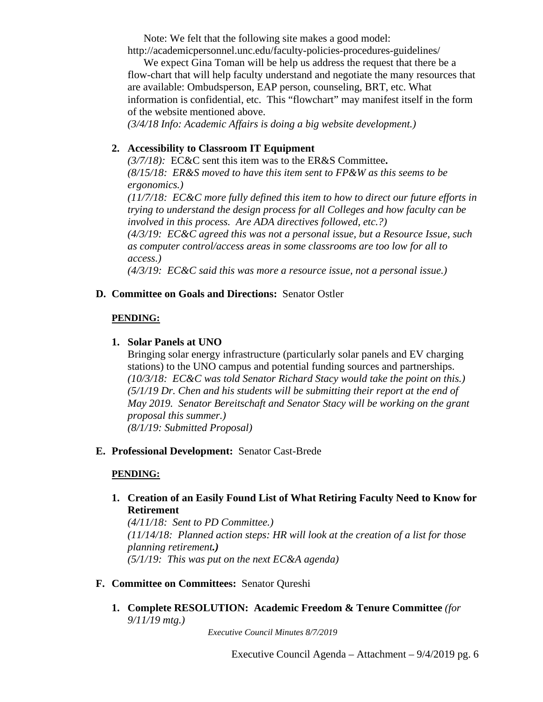Note: We felt that the following site makes a good model:

http://academicpersonnel.unc.edu/faculty-policies-procedures-guidelines/

We expect Gina Toman will be help us address the request that there be a flow-chart that will help faculty understand and negotiate the many resources that are available: Ombudsperson, EAP person, counseling, BRT, etc. What information is confidential, etc. This "flowchart" may manifest itself in the form of the website mentioned above. *(3/4/18 Info: Academic Affairs is doing a big website development.)*

## **2. Accessibility to Classroom IT Equipment**

*(3/7/18):* EC&C sent this item was to the ER&S Committee**.**  *(8/15/18: ER&S moved to have this item sent to FP&W as this seems to be ergonomics.) (11/7/18: EC&C more fully defined this item to how to direct our future efforts in trying to understand the design process for all Colleges and how faculty can be involved in this process. Are ADA directives followed, etc.?) (4/3/19: EC&C agreed this was not a personal issue, but a Resource Issue, such as computer control/access areas in some classrooms are too low for all to access.) (4/3/19: EC&C said this was more a resource issue, not a personal issue.)* 

**D. Committee on Goals and Directions:** Senator Ostler

## **PENDING:**

## **1. Solar Panels at UNO**

Bringing solar energy infrastructure (particularly solar panels and EV charging stations) to the UNO campus and potential funding sources and partnerships. *(10/3/18: EC&C was told Senator Richard Stacy would take the point on this.) (5/1/19 Dr. Chen and his students will be submitting their report at the end of May 2019. Senator Bereitschaft and Senator Stacy will be working on the grant proposal this summer.) (8/1/19: Submitted Proposal)*

**E. Professional Development:** Senator Cast-Brede

## **PENDING:**

**1. Creation of an Easily Found List of What Retiring Faculty Need to Know for Retirement**

*(4/11/18: Sent to PD Committee.) (11/14/18: Planned action steps: HR will look at the creation of a list for those planning retirement.) (5/1/19: This was put on the next EC&A agenda)*

- **F. Committee on Committees:** Senator Qureshi
	- **1. Complete RESOLUTION: Academic Freedom & Tenure Committee** *(for 9/11/19 mtg.)*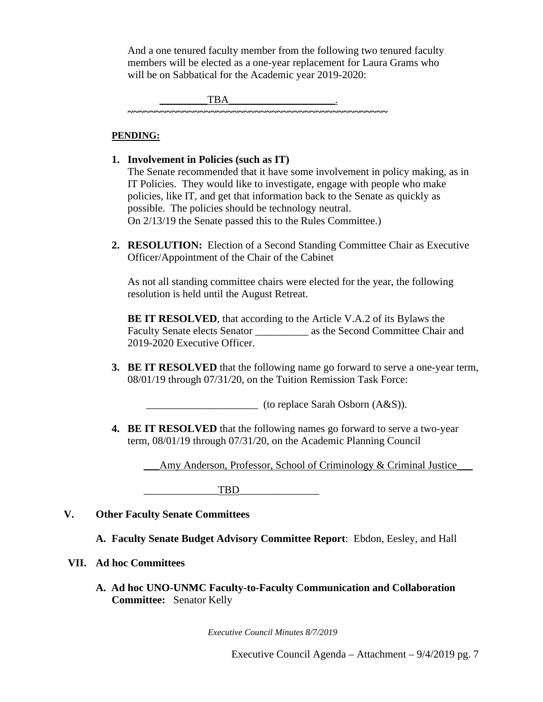And a one tenured faculty member from the following two tenured faculty members will be elected as a one-year replacement for Laura Grams who will be on Sabbatical for the Academic year 2019-2020:

 $\overline{\text{TBA}}$  . **~~~~~~~~~~~~~~~~~~~~~~~~~~~~~~~~~~~~~~~~~~~~~~~**

## **PENDING:**

- **1. Involvement in Policies (such as IT)** The Senate recommended that it have some involvement in policy making, as in IT Policies. They would like to investigate, engage with people who make policies, like IT, and get that information back to the Senate as quickly as possible. The policies should be technology neutral. On 2/13/19 the Senate passed this to the Rules Committee.)
- **2. RESOLUTION:** Election of a Second Standing Committee Chair as Executive Officer/Appointment of the Chair of the Cabinet

As not all standing committee chairs were elected for the year, the following resolution is held until the August Retreat.

**BE IT RESOLVED**, that according to the Article V.A.2 of its Bylaws the Faculty Senate elects Senator \_\_\_\_\_\_\_\_\_\_ as the Second Committee Chair and 2019-2020 Executive Officer.

**3. BE IT RESOLVED** that the following name go forward to serve a one-year term, 08/01/19 through 07/31/20, on the Tuition Remission Task Force:

\_\_\_\_\_\_\_\_\_\_\_\_\_\_\_\_\_\_\_\_\_ (to replace Sarah Osborn (A&S)).

**4. BE IT RESOLVED** that the following names go forward to serve a two-year term, 08/01/19 through 07/31/20, on the Academic Planning Council

Amy Anderson, Professor, School of Criminology & Criminal Justice

TBD

- **V. Other Faculty Senate Committees** 
	- **A. Faculty Senate Budget Advisory Committee Report**: Ebdon, Eesley, and Hall

## **VII. Ad hoc Committees**

**A. Ad hoc UNO-UNMC Faculty-to-Faculty Communication and Collaboration Committee:** Senator Kelly

*Executive Council Minutes 8/7/2019*

Executive Council Agenda – Attachment – 9/4/2019 pg. 7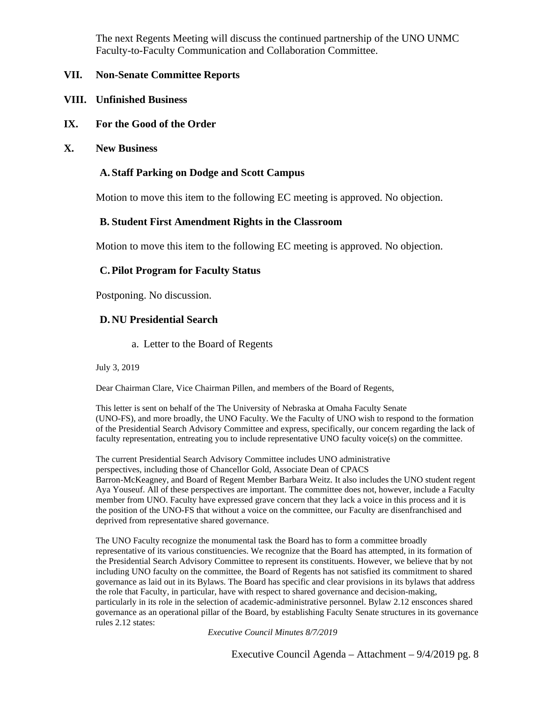The next Regents Meeting will discuss the continued partnership of the UNO UNMC Faculty-to-Faculty Communication and Collaboration Committee.

## **VII. Non-Senate Committee Reports**

- **VIII. Unfinished Business**
- **IX. For the Good of the Order**
- **X. New Business**

#### **A. Staff Parking on Dodge and Scott Campus**

Motion to move this item to the following EC meeting is approved. No objection.

#### **B. Student First Amendment Rights in the Classroom**

Motion to move this item to the following EC meeting is approved. No objection.

## **C.Pilot Program for Faculty Status**

Postponing. No discussion.

#### **D. NU Presidential Search**

a. Letter to the Board of Regents

July 3, 2019

Dear Chairman Clare, Vice Chairman Pillen, and members of the Board of Regents,

This letter is sent on behalf of the The University of Nebraska at Omaha Faculty Senate (UNO-FS), and more broadly, the UNO Faculty. We the Faculty of UNO wish to respond to the formation of the Presidential Search Advisory Committee and express, specifically, our concern regarding the lack of faculty representation, entreating you to include representative UNO faculty voice(s) on the committee.

The current Presidential Search Advisory Committee includes UNO administrative perspectives, including those of Chancellor Gold, Associate Dean of CPACS Barron-McKeagney, and Board of Regent Member Barbara Weitz. It also includes the UNO student regent Aya Youseuf. All of these perspectives are important. The committee does not, however, include a Faculty member from UNO. Faculty have expressed grave concern that they lack a voice in this process and it is the position of the UNO-FS that without a voice on the committee, our Faculty are disenfranchised and deprived from representative shared governance.

The UNO Faculty recognize the monumental task the Board has to form a committee broadly representative of its various constituencies. We recognize that the Board has attempted, in its formation of the Presidential Search Advisory Committee to represent its constituents. However, we believe that by not including UNO faculty on the committee, the Board of Regents has not satisfied its commitment to shared governance as laid out in its Bylaws. The Board has specific and clear provisions in its bylaws that address the role that Faculty, in particular, have with respect to shared governance and decision-making, particularly in its role in the selection of academic-administrative personnel. Bylaw 2.12 ensconces shared governance as an operational pillar of the Board, by establishing Faculty Senate structures in its governance rules 2.12 states: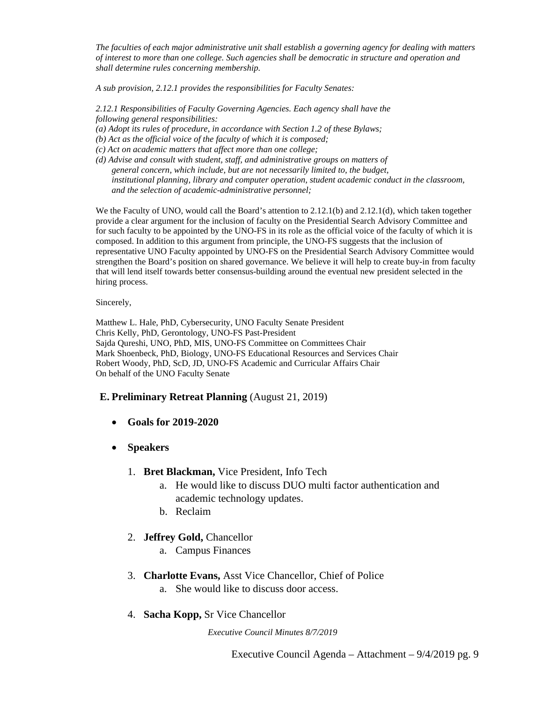*The faculties of each major administrative unit shall establish a governing agency for dealing with matters of interest to more than one college. Such agencies shall be democratic in structure and operation and shall determine rules concerning membership.*

*A sub provision, 2.12.1 provides the responsibilities for Faculty Senates:*

*2.12.1 Responsibilities of Faculty Governing Agencies. Each agency shall have the following general responsibilities:*

- *(a) Adopt its rules of procedure, in accordance with Section 1.2 of these Bylaws;*
- *(b) Act as the official voice of the faculty of which it is composed;*
- *(c) Act on academic matters that affect more than one college;*
- *(d) Advise and consult with student, staff, and administrative groups on matters of general concern, which include, but are not necessarily limited to, the budget, institutional planning, library and computer operation, student academic conduct in the classroom, and the selection of academic-administrative personnel;*

We the Faculty of UNO, would call the Board's attention to 2.12.1(b) and 2.12.1(d), which taken together provide a clear argument for the inclusion of faculty on the Presidential Search Advisory Committee and for such faculty to be appointed by the UNO-FS in its role as the official voice of the faculty of which it is composed. In addition to this argument from principle, the UNO-FS suggests that the inclusion of representative UNO Faculty appointed by UNO-FS on the Presidential Search Advisory Committee would strengthen the Board's position on shared governance. We believe it will help to create buy-in from faculty that will lend itself towards better consensus-building around the eventual new president selected in the hiring process.

#### Sincerely,

Matthew L. Hale, PhD, Cybersecurity, UNO Faculty Senate President Chris Kelly, PhD, Gerontology, UNO-FS Past-President Sajda Qureshi, UNO, PhD, MIS, UNO-FS Committee on Committees Chair Mark Shoenbeck, PhD, Biology, UNO-FS Educational Resources and Services Chair Robert Woody, PhD, ScD, JD, UNO-FS Academic and Curricular Affairs Chair On behalf of the UNO Faculty Senate

#### **E. Preliminary Retreat Planning** (August 21, 2019)

- **Goals for 2019-2020**
- **Speakers**
	- 1. **Bret Blackman,** Vice President, Info Tech
		- a. He would like to discuss DUO multi factor authentication and academic technology updates.
		- b. Reclaim

#### 2. **Jeffrey Gold,** Chancellor

- a. Campus Finances
- 3. **Charlotte Evans,** Asst Vice Chancellor, Chief of Police a. She would like to discuss door access.
- 4. **Sacha Kopp,** Sr Vice Chancellor